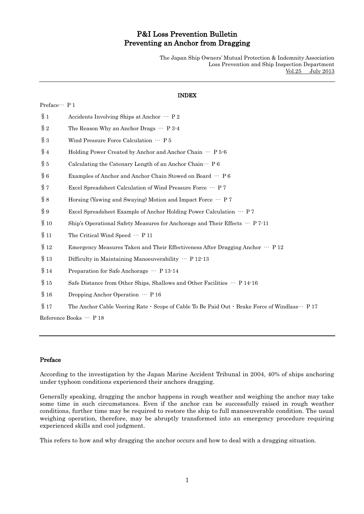# P&I Loss Prevention Bulletin Preventing an Anchor from Dragging

The Japan Ship Owners' Mutual Protection & Indemnity Association Loss Prevention and Ship Inspection Department Vol.25 July 2013

#### INDEX

| r reface  |                                                                                                  |
|-----------|--------------------------------------------------------------------------------------------------|
| $\S_1$    | Accidents Involving Ships at Anchor $\cdots$ P 2                                                 |
| $\S~2$    | The Reason Why an Anchor Drags $\cdots$ P 3-4                                                    |
| $\S$ 3    | Wind Pressure Force Calculation … P 5                                                            |
| $§$ 4     | Holding Power Created by Anchor and Anchor Chain $\cdots$ P 5.6                                  |
| $\S~5$    | Calculating the Catenary Length of an Anchor Chain $\cdots$ P 6                                  |
| $\S6$     | Examples of Anchor and Anchor Chain Stowed on Board $\,\cdots\,$ P $6$                           |
| $\S$ 7    | Excel Spreadsheet Calculation of Wind Pressure Force  P 7                                        |
| $\S 8$    | Horsing (Yawing and Swaying) Motion and Impact Force $\cdots$ P 7                                |
| $\S~9$    | Excel Spreadsheet Example of Anchor Holding Power Calculation  P 7                               |
| §10       | Ship's Operational Safety Measures for Anchorage and Their Effects  P 7-11                       |
| $\S$ 11   | The Critical Wind Speed $\cdots$ P 11                                                            |
| $\S_{12}$ | Emergency Measures Taken and Their Effectiveness After Dragging Anchor $\cdots$ P 12             |
| $§$ 13    | Difficulty in Maintaining Manoeuverability $\cdots$ P 12-13                                      |
| §14       | Preparation for Safe Anchorage … P 13-14                                                         |
| §15       | Safe Distance from Other Ships, Shallows and Other Facilities  P 14-16                           |
| §16       | Dropping Anchor Operation … P 16                                                                 |
| §17       | The Anchor Cable Veering Rate · Scope of Cable To Be Paid Out · Brake Force of Windlass ··· P 17 |
|           | Reference Books … P 18                                                                           |

 $P_1$ 

## Preface

According to the investigation by the Japan Marine Accident Tribunal in 2004, 40% of ships anchoring under typhoon conditions experienced their anchors dragging.

Generally speaking, dragging the anchor happens in rough weather and weighing the anchor may take some time in such circumstances. Even if the anchor can be successfully raised in rough weather conditions, further time may be required to restore the ship to full manoeuverable condition. The usual weighing operation, therefore, may be abruptly transformed into an emergency procedure requiring experienced skills and cool judgment.

This refers to how and why dragging the anchor occurs and how to deal with a dragging situation.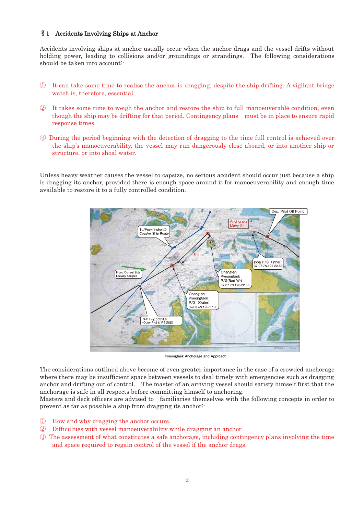## § 1 Accidents Involving Ships at Anchor

Accidents involving ships at anchor usually occur when the anchor drags and the vessel drifts without holding power, leading to collisions and/or groundings or strandings. The following considerations should be taken into account:-

- $\overline{a}$  It can take some time to realise the anchor is dragging, despite the ship drifting. A vigilant bridge watch is, therefore, essential.
- ղ It takes some time to weigh the anchor and restore the ship to full manoeuverable condition, even though the ship may be drifting for that period. Contingency plans must be in place to ensure rapid response times.
- ճ During the period beginning with the detection of dragging to the time full control is achieved over the ship's manoeuverability, the vessel may run dangerously close aboard, or into another ship or structure, or into shoal water.

Unless heavy weather causes the vessel to capsize, no serious accident should occur just because a ship is dragging its anchor, provided there is enough space around it for manoeuverability and enough time available to restore it to a fully controlled condition.



**Pyeongtaek Anchorage and Approach**

The considerations outlined above become of even greater importance in the case of a crowded anchorage where there may be insufficient space between vessels to deal timely with emergencies such as dragging anchor and drifting out of control. The master of an arriving vessel should satisfy himself first that the anchorage is safe in all respects before committing himself to anchoring.

Masters and deck officers are advised to familiarise themselves with the following concepts in order to prevent as far as possible a ship from dragging its anchor:-

- $\mathbb D$  How and why dragging the anchor occurs.
- ղ Difficulties with vessel manoeuverability while dragging an anchor.
- ճ The assessment of what constitutes a safe anchorage, including contingency plans involving the time and space required to regain control of the vessel if the anchor drags.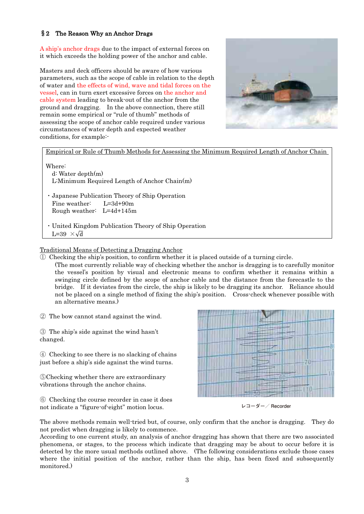## § 2 The Reason Why an Anchor Drags

A ship's anchor drags due to the impact of external forces on it which exceeds the holding power of the anchor and cable.

Masters and deck officers should be aware of how various parameters, such as the scope of cable in relation to the depth of water and the effects of wind, wave and tidal forces on the vessel, can in turn exert excessive forces on the anchor and cable system leading to break-out of the anchor from the ground and dragging. In the above connection, there still remain some empirical or "rule of thumb" methods of assessing the scope of anchor cable required under various circumstances of water depth and expected weather conditions, for example:-



Empirical or Rule of Thumb Methods for Assessing the Minimum Required Length of Anchor Chain

Where:

d: Water depth(m) L:Minimum Required Length of Anchor Chain(m)

- ࣭Japanese Publication Theory of Ship Operation Fine weather: L=3d+90m Rough weather: L=4d+145m
- ࣭United Kingdom Publication Theory of Ship Operation  $L=39 \times \sqrt{d}$

## Traditional Means of Detecting a Dragging Anchor

ձ Checking the ship's position, to confirm whether it is placed outside of a turning circle.

(The most currently reliable way of checking whether the anchor is dragging is to carefully monitor the vessel's position by visual and electronic means to confirm whether it remains within a swinging circle defined by the scope of anchor cable and the distance from the forecastle to the bridge. If it deviates from the circle, the ship is likely to be dragging its anchor. Reliance should not be placed on a single method of fixing the ship's position. Cross-check whenever possible with an alternative means.)

ղ The bow cannot stand against the wind.

ճ The ship's side against the wind hasn't changed.

մ Checking to see there is no slacking of chains just before a ship's side against the wind turns.

յChecking whether there are extraordinary vibrations through the anchor chains.

ն Checking the course recorder in case it does not indicate a "figure-of-eight" motion locus.



**レコーダー/ Recorder**

The above methods remain well-tried but, of course, only confirm that the anchor is dragging. They do not predict when dragging is likely to commence.

According to one current study, an analysis of anchor dragging has shown that there are two associated phenomena, or stages, to the process which indicate that dragging may be about to occur before it is detected by the more usual methods outlined above. (The following considerations exclude those cases where the initial position of the anchor, rather than the ship, has been fixed and subsequently monitored.)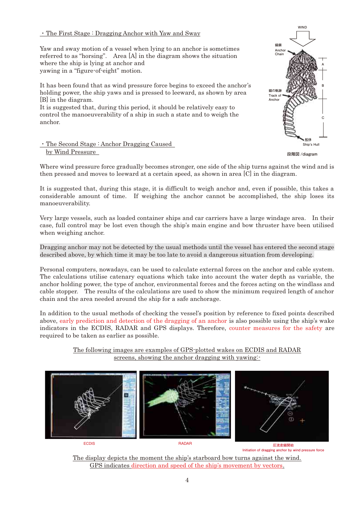## • The First Stage : Dragging Anchor with Yaw and Sway

Yaw and sway motion of a vessel when lying to an anchor is sometimes referred to as "horsing". Area [A] in the diagram shows the situation where the ship is lying at anchor and yawing in a "figure-of-eight" motion.

It has been found that as wind pressure force begins to exceed the anchor's holding power, the ship yaws and is pressed to leeward, as shown by area [B] in the diagram.

It is suggested that, during this period, it should be relatively easy to control the manoeuverability of a ship in such a state and to weigh the anchor.

#### • The Second Stage : Anchor Dragging Caused by Wind Pressure

**WIND** Ancho **Chain Track of Anchor Ship's Hull 錨の軌跡 錨鎖 C B A 船体 段階図 /diagram**

Where wind pressure force gradually becomes stronger, one side of the ship turns against the wind and is then pressed and moves to leeward at a certain speed, as shown in area [C] in the diagram.

It is suggested that, during this stage, it is difficult to weigh anchor and, even if possible, this takes a considerable amount of time. If weighing the anchor cannot be accomplished, the ship loses its manoeuverability.

Very large vessels, such as loaded container ships and car carriers have a large windage area. In their case, full control may be lost even though the ship's main engine and bow thruster have been utilised when weighing anchor.

Dragging anchor may not be detected by the usual methods until the vessel has entered the second stage described above, by which time it may be too late to avoid a dangerous situation from developing.

Personal computers, nowadays, can be used to calculate external forces on the anchor and cable system. The calculations utilise catenary equations which take into account the water depth as variable, the anchor holding power, the type of anchor, environmental forces and the forces acting on the windlass and cable stopper. The results of the calculations are used to show the minimum required length of anchor chain and the area needed around the ship for a safe anchorage.

In addition to the usual methods of checking the vessel's position by reference to fixed points described above, early prediction and detection of the dragging of an anchor is also possible using the ship's wake indicators in the ECDIS, RADAR and GPS displays. Therefore, counter measures for the safety are required to be taken as earlier as possible.

> The following images are examples of GPS-plotted wakes on ECDIS and RADAR screens, showing the anchor dragging with yawing:-



**圧流走錨開始 Initiation of dragging anchor by wind pressure force**

The display depicts the moment the ship's starboard bow turns against the wind. GPS indicates direction and speed of the ship's movement by vectors.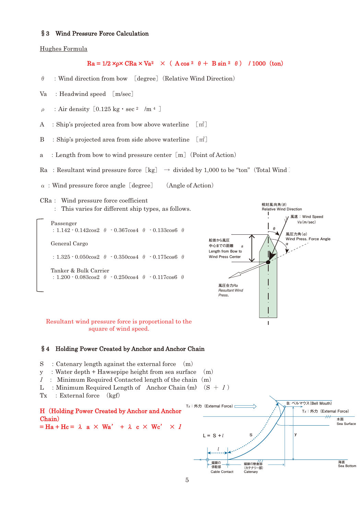#### i3 Wind Pressure Force Calculation

Hughes Formula

#### $Ra = 1/2 \times \rho \times CRa \times Va^2 \times (A \cos^2 \theta + B \sin^2 \theta) / 1000$  (ton)

 $\theta$  : Wind direction from bow  $\lceil \text{degree} \rceil$  (Relative Wind Direction)

Va : Headwind speed  $[m/sec]$ 

- $\rho$  : Air density [0.125 kg · sec <sup>2</sup> /m <sup>4</sup> ]
- A : Ship's projected area from bow above waterline  $\lceil \vec{m} \rceil$
- B : Ship's projected area from side above waterline  $\lceil m^2 \rceil$
- a : Length from bow to wind pressure center  $[m]$  (Point of Action)
- Ra : Resultant wind pressure force  $[kg] \rightarrow \text{divided by 1,000 to be "ton" (Total Wind )}$
- $\alpha$ : Wind pressure force angle  $[degree]$  (Angle of Action)
- CRa : Wind pressure force coefficient 㸸 This varies for different ship types, as follows.





#### Resultant wind pressure force is proportional to the square of wind speed.

#### § 4 Holding Power Created by Anchor and Anchor Chain

 $S :$  Catenary length against the external force  $(m)$ 

- y : Water depth + Hawsepipe height from sea surface  $(m)$
- *l* : Minimum Required Contacted length of the chain  $(m)$

L : Minimum Required Length of Anchor Chain (m)  $(S + 1)$ 

 $Tx : External force (kgf)$ 

# H (Holding Power Created by Anchor and Anchor Chain)

 $= Ha + Hc = \lambda$  a  $\times Wa' + \lambda c \times Wc' \times I$ 

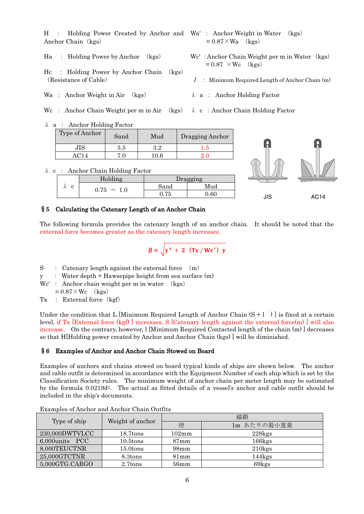H : Holding Power Created by Anchor and Anchor Chain (kgs)

- $Ha$ : Holding Power by Anchor  $(kgs)$
- $He$ : Holding Power by Anchor Chain  $(kgs)$ (Resistance of Cable)
- Wa  $:$  Anchor Weight in Air  $(kgs)$
- $Wc$  : Anchor Chain Weight per m in Air  $(kgs)$  $\lambda$  c : Anchor Chain Holding Factor

 $\lambda$  a : Anchor Holding Factor

| Type of Anchor | Sand | Mud  | Dragging Anchor |
|----------------|------|------|-----------------|
| JIS            | 3.5  | າ ດ  |                 |
| AC14           | .0   | 10.6 | 2.0             |

 $\lambda$  c : Anchor Chain Holding Factor

|                      | $Holdin\sigma$  | $\Gamma$ <sub>ro</sub> $\alpha$ <i>m</i> |      |
|----------------------|-----------------|------------------------------------------|------|
| $\epsilon$<br>ル<br>◡ | $0.75 \sim 1.0$ | Sand                                     | Mud  |
|                      |                 | ገ 75                                     | ).60 |



#### § 5 Calculating the Catenary Length of an Anchor Chain

The following formula provides the catenary length of an anchor chain. It should be noted that the external force becomes greater as the catenary length increases.

$$
S = \sqrt{y^2 + 2 (Tx/Wc') y}
$$

- $S$  : Catenary length against the external force  $(m)$
- $y$  : Water depth + Hawsepipe height from sea surface  $(m)$
- $Wc'$ : Anchor chain weight per m in water  $(kgs)$  $= 0.87 \times Wc$  (kgs)
- $Tx : External force (kef)$

Under the condition that L [Minimum Required Length of Anchor Chain  $(S + 1)$ ] is fixed at a certain level, if Tx [External force (kgf) ] increases, S [Catenary length against the external force(m) ] will also increase. On the contrary, however, l [Minimum Required Contacted length of the chain (m) ] decreases so that H[Holding power created by Anchor and Anchor Chain (kgs) ] will be diminished.

#### i6 Examples of Anchor and Anchor Chain Stowed on Board

Examples of anchors and chains stowed on board typical kinds of ships are shown below. The anchor and cable outfit is determined in accordance with the Equipment Number of each ship which is set by the Classification Society rules. The minimum weight of anchor chain per meter length may be estimated by the formula 0.0219d2. The actual as fitted details of a vessel's anchor and cable outfit should be included in the ship's documents.

|                 | Weight of anchor | 錨鎖               |                      |  |
|-----------------|------------------|------------------|----------------------|--|
| Type of ship    |                  | 径                | 1m あたりの最小重量          |  |
| 230,000DWTVLCC  | 18.7tons         | $102 \text{mm}$  | $228$ <sub>kgs</sub> |  |
| 6,000 units PCC | $10.5$ tons      | $87 \text{mm}$   | $166$ kgs            |  |
| 8,000TEUCTNR    | $15.0$ tons      | 98 <sub>mm</sub> | $210$ <sub>kgs</sub> |  |
| 25,000GTCTNR    | 8.3tons          | 81mm             | 144kgs               |  |
| 5,000GTG.CARGO  | 2.7tons          | 56mm             | 69kgs                |  |

Examples of Anchor and Anchor Chain Outfits

- Wa': Anchor Weight in Water (kgs)  $= 0.87 \times Wa$  (kgs)
- Wc': Anchor Chain Weight per m in Water (kgs)  $= 0.87 \times Wc$  (kgs)
- $l$  : Minimum Required Length of Anchor Chain (m)
- $\lambda$  a : Anchor Holding Factor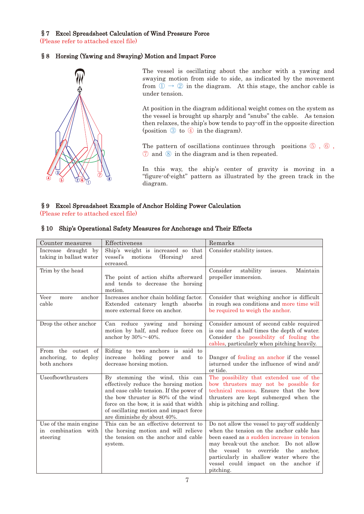## i7 Excel Spreadsheet Calculation of Wind Pressure Force

(Please refer to attached excel file)

## § 8 Horsing (Yawing and Swaying) Motion and Impact Force



The vessel is oscillating about the anchor with a yawing and swaying motion from side to side, as indicated by the movement from  $\mathbb{Q} \to \mathbb{Q}$  in the diagram. At this stage, the anchor cable is under tension.

At position in the diagram additional weight comes on the system as the vessel is brought up sharply and "snubs" the cable. As tension then relaxes, the ship's bow tends to pay-off in the opposite direction (position  $\circled{3}$  to  $\circled{4}$  in the diagram).

The pattern of oscillations continues through positions  $\circled{5}$ ,  $\circled{6}$ ,  $\oslash$  and  $\oslash$  in the diagram and is then repeated.

In this way, the ship's center of gravity is moving in a "figure-of-eight" pattern as illustrated by the green track in the diagram.

# i9 Excel Spreadsheet Example of Anchor Holding Power Calculation

(Please refer to attached excel file)

|  | § 10 Ship's Operational Safety Measures for Anchorage and Their Effects |  |  |  |  |
|--|-------------------------------------------------------------------------|--|--|--|--|
|--|-------------------------------------------------------------------------|--|--|--|--|

| Counter measures                                              | Effectiveness                                                                                                                                                                                                                                                                 | Remarks                                                                                                                                                                                                                                                                                                                     |
|---------------------------------------------------------------|-------------------------------------------------------------------------------------------------------------------------------------------------------------------------------------------------------------------------------------------------------------------------------|-----------------------------------------------------------------------------------------------------------------------------------------------------------------------------------------------------------------------------------------------------------------------------------------------------------------------------|
| Increase draught by<br>taking in ballast water                | Ship's weight is increased so that<br>vessel's<br>motions<br>(Horsing)<br>ared<br>ecreased.                                                                                                                                                                                   | Consider stability issues.                                                                                                                                                                                                                                                                                                  |
| Trim by the head                                              | The point of action shifts afterward<br>and tends to decrease the horsing<br>motion.                                                                                                                                                                                          | Consider<br>Maintain<br>stability<br>issues.<br>propeller immersion.                                                                                                                                                                                                                                                        |
| Veer<br>anchor<br>more<br>cable                               | Increases anchor chain holding factor.<br>Extended catenary length absorbs<br>more external force on anchor.                                                                                                                                                                  | Consider that weighing anchor is difficult<br>in rough sea conditions and more time will<br>be required to weigh the anchor.                                                                                                                                                                                                |
| Drop the other anchor                                         | Can reduce yawing and horsing<br>motion by half, and reduce force on<br>anchor by $30\% \sim 40\%$ .                                                                                                                                                                          | Consider amount of second cable required<br>is one and a half times the depth of water.<br>Consider the possibility of fouling the<br>cables, particularly when pitching heavily.                                                                                                                                           |
| From the outset<br>of<br>anchoring, to deploy<br>both anchors | Riding to two anchors is said to<br>increase holding power<br>and<br>to<br>decrease horsing motion.                                                                                                                                                                           | Danger of fouling an anchor if the vessel<br>isturned under the influence of wind and/<br>or tide.                                                                                                                                                                                                                          |
| Useofbowthrusters                                             | By stemming the wind, this can<br>effectively reduce the horsing motion<br>and ease cable tension. If the power of<br>the bow thruster is 80% of the wind<br>force on the bow, it is said that width<br>of oscillating motion and impact force<br>are diminishe dy about 40%. | The possibility that extended use of the<br>bow thrusters may not be possible for<br>technical reasons. Ensure that the bow<br>thrusters are kept submerged when the<br>ship is pitching and rolling.                                                                                                                       |
| Use of the main engine.<br>in combination with<br>steering    | This can be an effective deterrent to<br>the horsing motion and will relieve<br>the tension on the anchor and cable<br>system.                                                                                                                                                | Do not allow the vessel to pay off suddenly<br>when the tension on the anchor cable has<br>been eased as a sudden increase in tension<br>may break-out the anchor. Do not allow<br>the vessel to override<br>the<br>anchor.<br>particularly in shallow water where the<br>vessel could impact on the anchor if<br>pitching. |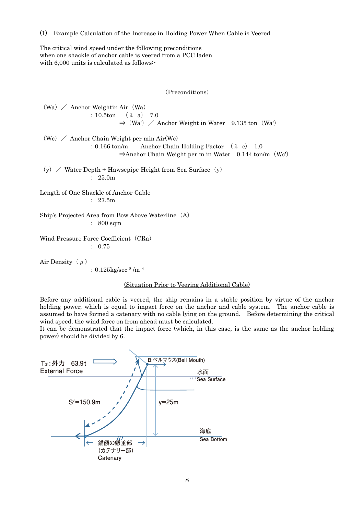The critical wind speed under the following preconditions when one shackle of anchor cable is veered from a PCC laden with 6,000 units is calculated as follows:-

(Preconditions)

 $(Wa)$  / Anchor Weightin Air  $(Wa)$  $: 10.5$ ton  $(\lambda \text{ a})$  7.0  $\Rightarrow$  (Wa') / Anchor Weight in Water 9.135 ton (Wa')

 $(Wc)$  / Anchor Chain Weight per min Air $(Wc)$ : 0.166 ton/m Anchor Chain Holding Factor  $(\lambda \ c)$  1.0  $\Rightarrow$ Anchor Chain Weight per m in Water 0.144 ton/m (Wc')

 $(y)$  / Water Depth + Hawsepipe Height from Sea Surface  $(y)$  $: 25.0m$ 

Length of One Shackle of Anchor Cable  $: 27.5m$ 

Ship's Projected Area from Bow Above Waterline (A) 㸸 800 sqm

Wind Pressure Force Coefficient (CRa)  $: 0.75$ 

Air Density  $(\rho)$ 

: 0.125kg/sec  $^2$  /m  $^4$ 

#### (Situation Prior to Veering Additional Cable)

Before any additional cable is veered, the ship remains in a stable position by virtue of the anchor holding power, which is equal to impact force on the anchor and cable system. The anchor cable is assumed to have formed a catenary with no cable lying on the ground. Before determining the critical wind speed, the wind force on from ahead must be calculated.

It can be demonstrated that the impact force (which, in this case, is the same as the anchor holding power) should be divided by 6.

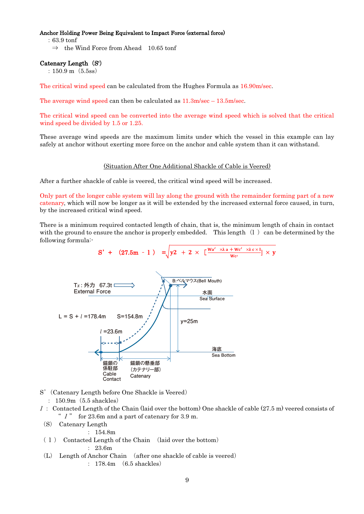#### Anchor Holding Power Being Equivalent to Impact Force (external force)

㸸63.9 tonf

 $\Rightarrow$  the Wind Force from Ahead 10.65 tonf

# Catenary Length (S')

 $: 150.9 \text{ m}$   $(5.5 \text{ss})$ 

The critical wind speed can be calculated from the Hughes Formula as 16.90m/sec.

The average wind speed can then be calculated as  $11.3 \text{m/sec} - 13.5 \text{m/sec}$ .

The critical wind speed can be converted into the average wind speed which is solved that the critical wind speed be divided by 1.5 or 1.25.

These average wind speeds are the maximum limits under which the vessel in this example can lay safely at anchor without exerting more force on the anchor and cable system than it can withstand.

#### (Situation After One Additional Shackle of Cable is Veered)

After a further shackle of cable is veered, the critical wind speed will be increased.

Only part of the longer cable system will lay along the ground with the remainder forming part of a new catenary, which will now be longer as it will be extended by the increased external force caused, in turn, by the increased critical wind speed.

There is a minimum required contacted length of chain, that is, the minimum length of chain in contact with the ground to ensure the anchor is properly embedded. This length  $(1)$  can be determined by the following formula:-

$$
S' + (27.5m - 1) = \sqrt{y^2 + 2 \times \left[\frac{Wa' \times \lambda a + wc' \times \lambda c \times 1}{w_{c'}}\right] \times y}
$$



S' (Catenary Length before One Shackle is Veered)

- $: 150.9m$   $(5.5$  shackles $)$
- $l$ : Contacted Length of the Chain (laid over the bottom) One shackle of cable (27.5 m) veered consists of " $\frac{1}{2}$  for 23.6m and a part of catenary for 3.9 m.
	- (S) Catenary Length
		- $\cdot$  154.8m
- $(1)$  Contacted Length of the Chain  $($ laid over the bottom $)$  $: 23.6m$
- $(L)$  Length of Anchor Chain (after one shackle of cable is veered)  $: 178.4m \quad (6.5 \text{ shackles})$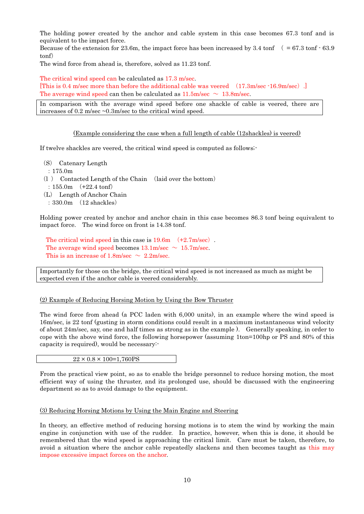The holding power created by the anchor and cable system in this case becomes 67.3 tonf and is equivalent to the impact force.

Because of the extension for 23.6m, the impact force has been increased by 3.4 tonf  $(=67.3 \text{ tonf} \cdot 63.9$  $t$ onf $)$ 

The wind force from ahead is, therefore, solved as 11.23 tonf.

The critical wind speed can be calculated as 17.3 m/sec. [This is 0.4 m/sec more than before the additional cable was veered  $(17.3 \text{m/sec} \cdot 16.9 \text{m/sec})$ .] The average wind speed can then be calculated as  $11.5 \text{m/sec} \sim 13.8 \text{m/sec}$ .

In comparison with the average wind speed before one shackle of cable is veered, there are increases of 0.2 m/sec ~0.3m/sec to the critical wind speed.

#### (Example considering the case when a full length of cable (12shackles) is veered)

If twelve shackles are veered, the critical wind speed is computed as follows;-

- (S) Catenary Length
- 㸸175.0m
- $(l)$  Contacted Length of the Chain  $(laid over the bottom)$ 
	- $: 155.0m \quad (+22.4 \text{ tonf})$
- (L) Length of Anchor Chain
- $: 330.0m$   $(12 \text{ shackles})$

Holding power created by anchor and anchor chain in this case becomes 86.3 tonf being equivalent to impact force. The wind force on front is 14.38 tonf.

The critical wind speed in this case is  $19.6m$   $(+2.7m/sec)$ . The average wind speed becomes  $13.1 \text{m/sec} \sim 15.7 \text{m/sec}$ . This is an increase of  $1.8$ m/sec  $\sim 2.2$ m/sec.

Importantly for those on the bridge, the critical wind speed is not increased as much as might be expected even if the anchor cable is veered considerably.

#### (2) Example of Reducing Horsing Motion by Using the Bow Thruster

The wind force from ahead (a PCC laden with 6,000 units), in an example where the wind speed is 16m/sec, is 22 tonf (gusting in storm conditions could result in a maximum instantaneous wind velocity of about 24m/sec, say, one and half times as strong as in the example ). Generally speaking, in order to cope with the above wind force, the following horsepower (assuming 1ton=100hp or PS and 80% of this capacity is required), would be necessary:-

 $22 \times 0.8 \times 100 = 1,760$ PS

From the practical view point, so as to enable the bridge personnel to reduce horsing motion, the most efficient way of using the thruster, and its prolonged use, should be discussed with the engineering department so as to avoid damage to the equipment.

#### (3) Reducing Horsing Motions by Using the Main Engine and Steering

In theory, an effective method of reducing horsing motions is to stem the wind by working the main engine in conjunction with use of the rudder. In practice, however, when this is done, it should be remembered that the wind speed is approaching the critical limit. Care must be taken, therefore, to avoid a situation where the anchor cable repeatedly slackens and then becomes taught as this may impose excessive impact forces on the anchor.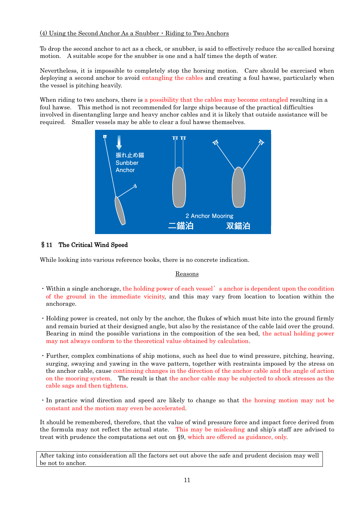## (4) Using the Second Anchor As a Snubber  $\cdot$  Riding to Two Anchors

To drop the second anchor to act as a check, or snubber, is said to effectively reduce the so-called horsing motion. A suitable scope for the snubber is one and a half times the depth of water.

Nevertheless, it is impossible to completely stop the horsing motion. Care should be exercised when deploying a second anchor to avoid entangling the cables and creating a foul hawse, particularly when the vessel is pitching heavily.

When riding to two anchors, there is a possibility that the cables may become entangled resulting in a foul hawse. This method is not recommended for large ships because of the practical difficulties involved in disentangling large and heavy anchor cables and it is likely that outside assistance will be required. Smaller vessels may be able to clear a foul hawse themselves.



# i11 The Critical Wind Speed

While looking into various reference books, there is no concrete indication.

# Reasons

- Within a single anchorage, the holding power of each vessel's anchor is dependent upon the condition of the ground in the immediate vicinity, and this may vary from location to location within the anchorage.
- ࣭Holding power is created, not only by the anchor, the flukes of which must bite into the ground firmly and remain buried at their designed angle, but also by the resistance of the cable laid over the ground. Bearing in mind the possible variations in the composition of the sea bed, the actual holding power may not always conform to the theoretical value obtained by calculation.
- Further, complex combinations of ship motions, such as heel due to wind pressure, pitching, heaving, surging, swaying and yawing in the wave pattern, together with restraints imposed by the stress on the anchor cable, cause continuing changes in the direction of the anchor cable and the angle of action on the mooring system. The result is that the anchor cable may be subjected to shock stresses as the cable sags and then tightens.
- In practice wind direction and speed are likely to change so that the horsing motion may not be constant and the motion may even be accelerated.

It should be remembered, therefore, that the value of wind pressure force and impact force derived from the formula may not reflect the actual state. This may be misleading and ship's staff are advised to treat with prudence the computations set out on §9, which are offered as guidance, only.

After taking into consideration all the factors set out above the safe and prudent decision may well be not to anchor.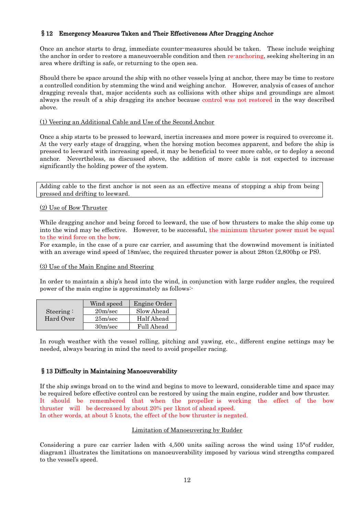## i12 Emergency Measures Taken and Their Effectiveness After Dragging Anchor

Once an anchor starts to drag, immediate counter-measures should be taken. These include weighing the anchor in order to restore a maneuvoerable condition and then re-anchoring, seeking sheltering in an area where drifting is safe, or returning to the open sea.

Should there be space around the ship with no other vessels lying at anchor, there may be time to restore a controlled condition by stemming the wind and weighing anchor. However, analysis of cases of anchor dragging reveals that, major accidents such as collisions with other ships and groundings are almost always the result of a ship dragging its anchor because control was not restored in the way described above.

#### (1) Veering an Additional Cable and Use of the Second Anchor

Once a ship starts to be pressed to leeward, inertia increases and more power is required to overcome it. At the very early stage of dragging, when the horsing motion becomes apparent, and before the ship is pressed to leeward with increasing speed, it may be beneficial to veer more cable, or to deploy a second anchor. Nevertheless, as discussed above, the addition of more cable is not expected to increase significantly the holding power of the system.

Adding cable to the first anchor is not seen as an effective means of stopping a ship from being pressed and drifting to leeward.

## (2) Use of Bow Thruster

While dragging anchor and being forced to leeward, the use of bow thrusters to make the ship come up into the wind may be effective. However, to be successful, the minimum thruster power must be equal to the wind force on the bow.

For example, in the case of a pure car carrier, and assuming that the downwind movement is initiated with an average wind speed of 18m/sec, the required thruster power is about 28ton  $(2,800$ hp or PS).

#### (3) Use of the Main Engine and Steering

In order to maintain a ship's head into the wind, in conjunction with large rudder angles, the required power of the main engine is approximately as follows:-

|           | Wind speed           | Engine Order |
|-----------|----------------------|--------------|
| Steering: | 20 <sub>m</sub> /sec | Slow Ahead   |
| Hard Over | 25m/sec              | Half Ahead   |
|           | 30m/sec              | Full Ahead   |

In rough weather with the vessel rolling, pitching and yawing, etc., different engine settings may be needed, always bearing in mind the need to avoid propeller racing.

## § 13 Difficulty in Maintaining Manoeuverability

If the ship swings broad on to the wind and begins to move to leeward, considerable time and space may be required before effective control can be restored by using the main engine, rudder and bow thruster. It should be remembered that when the propeller is working the effect of the bow thruster will be decreased by about 20% per 1knot of ahead speed. In other words, at about 5 knots, the effect of the bow thruster is negated.

#### Limitation of Manoeuvering by Rudder

Considering a pure car carrier laden with 4,500 units sailing across the wind using 15°of rudder, diagram1 illustrates the limitations on manoeuverability imposed by various wind strengths compared to the vessel's speed.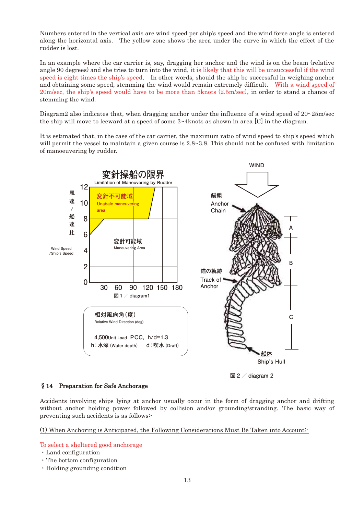Numbers entered in the vertical axis are wind speed per ship's speed and the wind force angle is entered along the horizontal axis. The yellow zone shows the area under the curve in which the effect of the rudder is lost.

In an example where the car carrier is, say, dragging her anchor and the wind is on the beam (relative angle 90 degrees) and she tries to turn into the wind, it is likely that this will be unsuccessful if the wind speed is eight times the ship's speed. In other words, should the ship be successful in weighing anchor and obtaining some speed, stemming the wind would remain extremely difficult. With a wind speed of 20m/sec, the ship's speed would have to be more than 5knots (2.5m/sec), in order to stand a chance of stemming the wind.

Diagram2 also indicates that, when dragging anchor under the influence of a wind speed of 20~25m/sec the ship will move to leeward at a speed of some 3~4knots as shown in area [C] in the diagram.

It is estimated that, in the case of the car carrier, the maximum ratio of wind speed to ship's speed which will permit the vessel to maintain a given course is  $2.8 \sim 3.8$ . This should not be confused with limitation of manoeuvering by rudder.



**図 2 / diagram 2**

## § 14 Preparation for Safe Anchorage

Accidents involving ships lying at anchor usually occur in the form of dragging anchor and drifting without anchor holding power followed by collision and/or grounding/stranding. The basic way of preventing such accidents is as follows:-

(1) When Anchoring is Anticipated, the Following Considerations Must Be Taken into Account:-

To select a sheltered good anchorage

- ࣭Land configuration
- ࣭The bottom configuration
- Holding grounding condition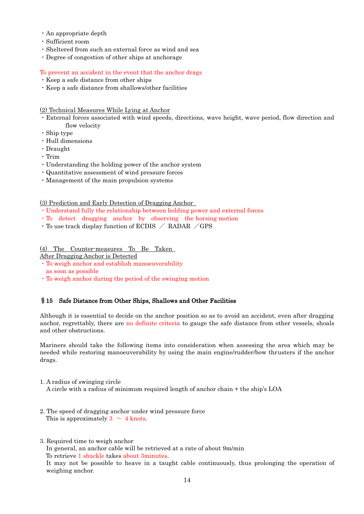- $\cdot$  An appropriate depth
- ࣭Sufficient room
- ࣭Sheltered from such an external force as wind and sea
- ࣭Degree of congestion of other ships at anchorage

#### To prevent an accident in the event that the anchor drags

- $\cdot$  Keep a safe distance from other ships
- $\cdot$  Keep a safe distance from shallows/other facilities

(2) Technical Measures While Lying at Anchor

- ࣭External forces associated with wind speeds, directions, wave height, wave period, flow direction and flow velocity
- $\cdot$  Ship type
- Hull dimensions
- $\cdot$  Draught
- $\cdot$  Trim
- ࣭Understanding the holding power of the anchor system
- ࣭Quantitative assessment of wind pressure forces
- · Management of the main propulsion systems

(3) Prediction and Early Detection of Dragging Anchor

- ࣭Understand fully the relationship between holding power and external forces
- ࣭To detect dragging anchor by observing the horsing motion
- $\cdot$  To use track display function of ECDIS  $\angle$  RADAR  $\angle$ GPS

(4) The Counter-measures To Be Taken

After Dragging Anchor is Detected

- ࣭To weigh anchor and establish manoeuverability as soon as possible
- ࣭To weigh anchor during the period of the swinging motion

## § 15 Safe Distance from Other Ships, Shallows and Other Facilities

Although it is essential to decide on the anchor position so as to avoid an accident, even after dragging anchor, regrettably, there are no definite criteria to gauge the safe distance from other vessels, shoals and other obstructions.

Mariners should take the following items into consideration when assessing the area which may be needed while restoring manoeuverability by using the main engine/rudder/bow thrusters if the anchor drags.

- 1. A radius of swinging circle A circle with a radius of minimum required length of anchor chain + the ship's LOA
- 2. The speed of dragging anchor under wind pressure force This is approximately  $3 \sim 4$  knots.
- 3. Required time to weigh anchor

In general, an anchor cable will be retrieved at a rate of about 9m/min To retrieve 1 shackle takes about 3minutes.

It may not be possible to heave in a taught cable continuously, thus prolonging the operation of weighing anchor.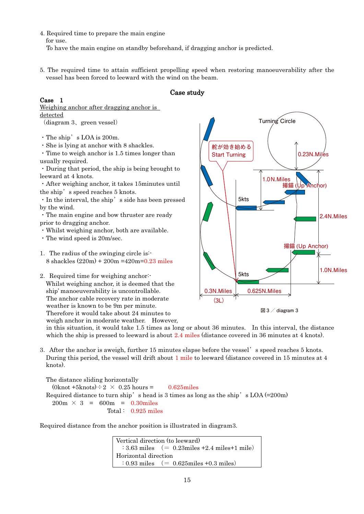4. Required time to prepare the main engine for use.

To have the main engine on standby beforehand, if dragging anchor is predicted.

5. The required time to attain sufficient propelling speed when restoring manoeuverability after the vessel has been forced to leeward with the wind on the beam.

# Case study

Case 1 Weighing anchor after dragging anchor is detected

- $(diagram 3, green vessel)$
- $\cdot$  The ship's LOA is 200m.
- $\cdot$  She is lying at anchor with 8 shackles.
- $\cdot$  Time to weigh anchor is 1.5 times longer than usually required.

 $\cdot$  During that period, the ship is being brought to leeward at 4 knots.

· After weighing anchor, it takes 15minutes until the ship's speed reaches 5 knots.

 $\cdot$  In the interval, the ship's side has been pressed by the wind.

 $\cdot$  The main engine and bow thruster are ready prior to dragging anchor.

࣭Whilst weighing anchor, both are available.

• The wind speed is 20m/sec.

- 1. The radius of the swinging circle is:-8 shackles (220m) + 200m =420m=0.23 miles
- 2. Required time for weighing anchor-Whilst weighing anchor, it is deemed that the ship' manoeuverability is uncontrollable. The anchor cable recovery rate in moderate weather is known to be 9m per minute. Therefore it would take about 24 minutes to weigh anchor in moderate weather. However,



**図 3 / diagram 3**

in this situation, it would take 1.5 times as long or about 36 minutes. In this interval, the distance which the ship is pressed to leeward is about 2.4 miles (distance covered in 36 minutes at 4 knots).

3. After the anchor is aweigh, further 15 minutes elapse before the vessel's speed reaches 5 knots. During this period, the vessel will drift about 1 mile to leeward (distance covered in 15 minutes at 4 knots).

The distance sliding horizontally  $(0knot +5knots) \div 2 \times 0.25$  hours = 0.625miles Required distance to turn ship<sup>'</sup>s head is 3 times as long as the ship's LOA  $(=200m)$  $200m \times 3 = 600m = 0.30miles$ Total :  $0.925$  miles

Required distance from the anchor position is illustrated in diagram3.

Vertical direction (to leeward)  $: 3.63 \text{ miles}$   $(= 0.23 \text{ miles} + 2.4 \text{ miles} + 1 \text{ mile})$ Horizontal direction  $: 0.93 \text{ miles } (= 0.625 \text{ miles} + 0.3 \text{ miles})$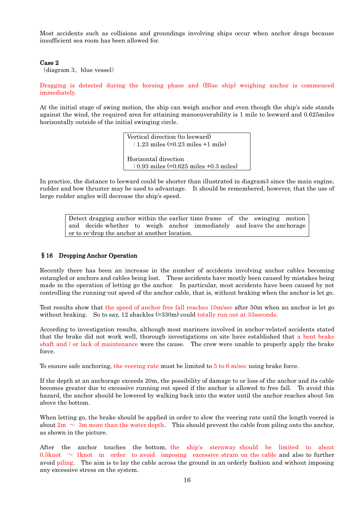Most accidents such as collisions and groundings involving ships occur when anchor drags because insufficient sea room has been allowed for.

#### Case 2

 $(diagram 3, blue vessel)$ 

Dragging is detected during the horsing phase and (Blue ship) weighing anchor is commenced immediately.

At the initial stage of swing motion, the ship can weigh anchor and even though the ship's side stands against the wind, the required area for attaining manoeuverability is 1 mile to leeward and 0.625miles horizontally outside of the initial swinging circle.

> Vertical direction (to leeward) : 1.23 miles (=0.23 miles +1 mile) Horizontal direction : 0.93 miles (=0.625 miles +0.3 miles)

In practice, the distance to leeward could be shorter than illustrated in diagram3 since the main engine, rudder and bow thruster may be used to advantage. It should be remembered, however, that the use of large rudder angles will decrease the ship's speed.

Detect dragging anchor within the earlier time frame of the swinging motion and decide whether to weigh anchor immediately and leave the anchorage or to re-drop the anchor at another location.

## § 16 Dropping Anchor Operation

Recently there has been an increase in the number of accidents involving anchor cables becoming entangled or anchors and cables being lost. These accidents have mostly been caused by mistakes being made in the operation of letting go the anchor. In particular, most accidents have been caused by not controlling the running-out speed of the anchor cable, that is, without braking when the anchor is let go.

Test results show that the speed of anchor free fall reaches 10m/sec after 50m when an anchor is let go without braking. So to say, 12 shackles (=330m) could totally run out at 33 seconds.

According to investigation results, although most mariners involved in anchor-related accidents stated that the brake did not work well, thorough investigations on site have established that a bent brake shaft and / or lack of maintenance were the cause. The crew were unable to properly apply the brake force.

To ensure safe anchoring, the veering rate must be limited to 5 to 6 m/sec using brake force.

If the depth at an anchorage exceeds 20m, the possibility of damage to or loss of the anchor and its cable becomes greater due to excessive running out speed if the anchor is allowed to free fall. To avoid this hazard, the anchor should be lowered by walking back into the water until the anchor reaches about 5m above the bottom.

When letting go, the brake should be applied in order to slow the veering rate until the length veered is about  $2m \sim 3m$  more than the water depth. This should prevent the cable from piling onto the anchor, as shown in the picture.

After the anchor touches the bottom, the ship's sternway should be limited to about 0.5knot  $\sim$  1knot in order to avoid imposing excessive strain on the cable and also to further avoid piling. The aim is to lay the cable across the ground in an orderly fashion and without imposing any excessive stress on the system.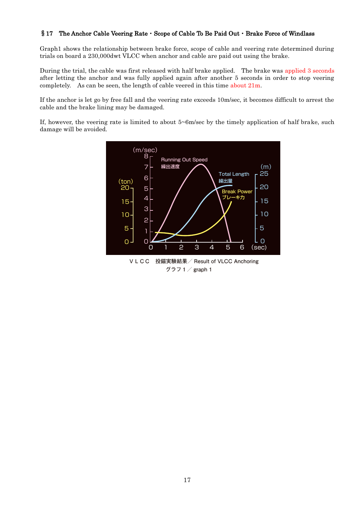## § 17 The Anchor Cable Veering Rate · Scope of Cable To Be Paid Out · Brake Force of Windlass

Graph1 shows the relationship between brake force, scope of cable and veering rate determined during trials on board a 230,000dwt VLCC when anchor and cable are paid out using the brake.

During the trial, the cable was first released with half brake applied. The brake was applied 3 seconds after letting the anchor and was fully applied again after another 5 seconds in order to stop veering completely. As can be seen, the length of cable veered in this time about 21m.

If the anchor is let go by free fall and the veering rate exceeds 10m/sec, it becomes difficult to arrest the cable and the brake lining may be damaged.

If, however, the veering rate is limited to about 5~6m/sec by the timely application of half brake, such damage will be avoided.



**VLCC 投錨実験結果/ Result of VLCC Anchoring グラフ1/ graph 1**